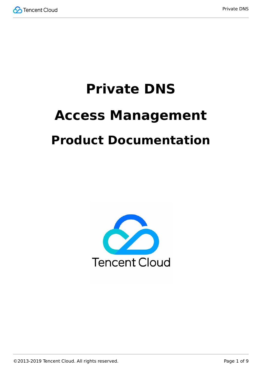

# **Private DNS Access Management Product Documentation**

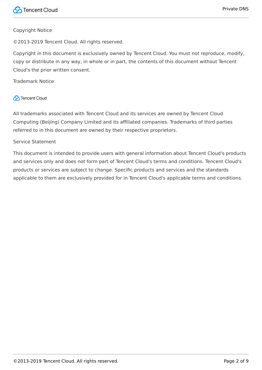#### Copyright Notice

©2013-2019 Tencent Cloud. All rights reserved.

Copyright in this document is exclusively owned by Tencent Cloud. You must not reproduce, modify, copy or distribute in any way, in whole or in part, the contents of this document without Tencent Cloud's the prior written consent.

Trademark Notice

### **C** Tencent Cloud

All trademarks associated with Tencent Cloud and its services are owned by Tencent Cloud Computing (Beijing) Company Limited and its affiliated companies. Trademarks of third parties referred to in this document are owned by their respective proprietors.

#### Service Statement

This document is intended to provide users with general information about Tencent Cloud's products and services only and does not form part of Tencent Cloud's terms and conditions. Tencent Cloud's products or services are subject to change. Specific products and services and the standards applicable to them are exclusively provided for in Tencent Cloud's applicable terms and conditions.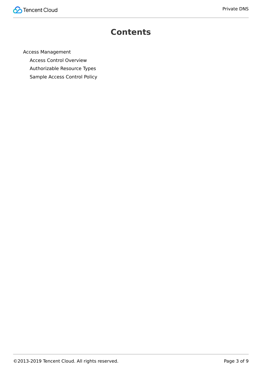

# **Contents**

[Access Management](#page-3-0)

[Access Control Overview](#page-3-1)

[Authorizable Resource Types](#page-5-0)

[Sample Access Control Policy](#page-7-0)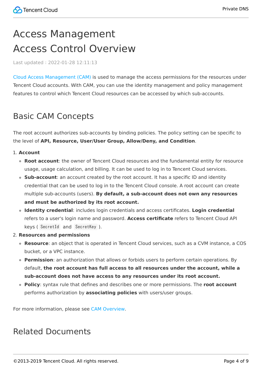# <span id="page-3-1"></span><span id="page-3-0"></span>Access Management Access Control Overview

Last updated:2022-01-28 12:11:13

[Cloud Access Management \(CAM\)](https://intl.cloud.tencent.com/document/product/598/17848) is used to manage the access permissions for the resources under Tencent Cloud accounts. With CAM, you can use the identity management and policy management features to control which Tencent Cloud resources can be accessed by which sub-accounts.

# Basic CAM Concepts

The root account authorizes sub-accounts by binding policies. The policy setting can be specific to the level of **API, Resource, User/User Group, Allow/Deny, and Condition**.

#### 1. **Account**

- **Root account**: the owner of Tencent Cloud resources and the fundamental entity for resource usage, usage calculation, and billing. It can be used to log in to Tencent Cloud services.
- **Sub-account**: an account created by the root account. It has a specific ID and identity credential that can be used to log in to the Tencent Cloud console. A root account can create multiple sub-accounts (users). **By default, a sub-account does not own any resources and must be authorized by its root account.**
- **Identity credential**: includes login credentials and access certificates. **Login credential** refers to a user's login name and password. **Access certificate** refers to Tencent Cloud API keys ( SecretId and SecretKey ).
- 2. **Resources and permissions**
	- **Resource**: an object that is operated in Tencent Cloud services, such as a CVM instance, a COS bucket, or a VPC instance.
	- **Permission**: an authorization that allows or forbids users to perform certain operations. By default, **the root account has full access to all resources under the account, while a sub-account does not have access to any resources under its root account.**
	- **Policy**: syntax rule that defines and describes one or more permissions. The **root account** performs authorization by **associating policies** with users/user groups.

For more information, please see [CAM Overview.](https://intl.cloud.tencent.com/document/product/598/10583)

### Related Documents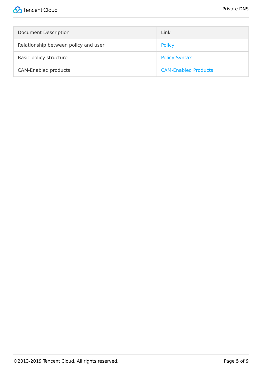| <b>Document Description</b>          | Link                        |
|--------------------------------------|-----------------------------|
| Relationship between policy and user | <b>Policy</b>               |
| Basic policy structure               | <b>Policy Syntax</b>        |
| <b>CAM-Enabled products</b>          | <b>CAM-Enabled Products</b> |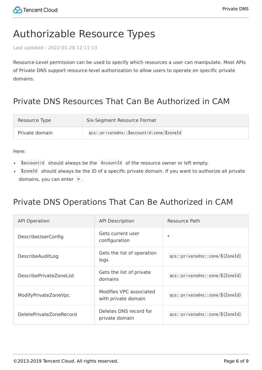# <span id="page-5-0"></span>Authorizable Resource Types

Last updated:2022-01-28 12:11:13

Resource-Level permission can be used to specify which resources a user can manipulate. Most APIs of Private DNS support resource-level authorization to allow users to operate on specific private domains.

# Private DNS Resources That Can Be Authorized in CAM

| Resource Type  | Six-Segment Resource Format                |
|----------------|--------------------------------------------|
| Private domain | gcs::privatedns::\$accountid:zone/\$zoneId |

Here:

- . \$accountid should always be the AccountId of the resource owner or left empty.
- \$zoneId should always be the ID of a specific private domain. If you want to authorize all private domains, you can enter  $*$ .

### Private DNS Operations That Can Be Authorized in CAM

| <b>API Operation</b>    | <b>API Description</b>                         | Resource Path                    |
|-------------------------|------------------------------------------------|----------------------------------|
| DescribeUserConfig      | Gets current user<br>configuration             | $\ast$                           |
| DescribeAuditLog        | Gets the list of operation<br>logs             | qcs::privatedns::zone/\${ZoneId} |
| DescribePrivateZoneList | Gets the list of private<br>domains            | qcs::privatedns::zone/\${ZoneId} |
| ModifyPrivateZoneVpc    | Modifies VPC associated<br>with private domain | qcs::privatedns::zone/\${ZoneId} |
| DeletePrivateZoneRecord | Deletes DNS record for<br>private domain       | qcs::privatedns::zone/\${ZoneId} |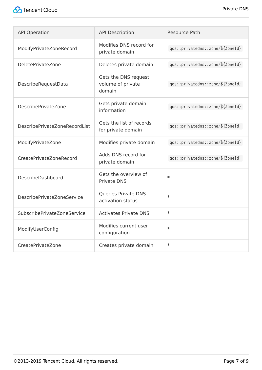| <b>API Operation</b>              | <b>API Description</b>                              | <b>Resource Path</b>             |
|-----------------------------------|-----------------------------------------------------|----------------------------------|
| ModifyPrivateZoneRecord           | Modifies DNS record for<br>private domain           | qcs::privatedns::zone/\${ZoneId} |
| <b>DeletePrivateZone</b>          | Deletes private domain                              | qcs::privatedns::zone/\${ZoneId} |
| DescribeRequestData               | Gets the DNS request<br>volume of private<br>domain | qcs::privatedns::zone/\${ZoneId} |
| DescribePrivateZone               | Gets private domain<br>information                  | qcs::privatedns::zone/\${ZoneId} |
| DescribePrivateZoneRecordList     | Gets the list of records<br>for private domain      | qcs::privatedns::zone/\${ZoneId} |
| ModifyPrivateZone                 | Modifies private domain                             | qcs::privatedns::zone/\${ZoneId} |
| CreatePrivateZoneRecord           | Adds DNS record for<br>private domain               | qcs::privatedns::zone/\${ZoneId} |
| DescribeDashboard                 | Gets the overview of<br><b>Private DNS</b>          | $\ast$                           |
| <b>DescribePrivateZoneService</b> | Queries Private DNS<br>activation status            | $\ast$                           |
| SubscribePrivateZoneService       | <b>Activates Private DNS</b>                        | $\ast$                           |
| ModifyUserConfig                  | Modifies current user<br>configuration              | $\ast$                           |
| CreatePrivateZone                 | Creates private domain                              | $\ast$                           |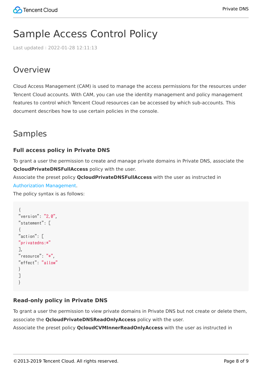# <span id="page-7-0"></span>Sample Access Control Policy

Last updated:2022-01-28 12:11:13

# Overview

Cloud Access Management (CAM) is used to manage the access permissions for the resources under Tencent Cloud accounts. With CAM, you can use the identity management and policy management features to control which Tencent Cloud resources can be accessed by which sub-accounts. This document describes how to use certain policies in the console.

### Samples

### **Full access policy in Private DNS**

To grant a user the permission to create and manage private domains in Private DNS, associate the **QcloudPrivateDNSFullAccess** policy with the user.

Associate the preset policy **QcloudPrivateDNSFullAccess** with the user as instructed in [Authorization Management.](https://intl.cloud.tencent.com/document/product/598/10602)

The policy syntax is as follows:

```
{
"version": "2.0",
"statement": [
{
"action": [
"privatedns:*"
],
"resource": "*",
"effect": "allow"
}
]
}
```
### **Read-only policy in Private DNS**

To grant a user the permission to view private domains in Private DNS but not create or delete them, associate the **QcloudPrivateDNSReadOnlyAccess** policy with the user. Associate the preset policy **QcloudCVMInnerReadOnlyAccess** with the user as instructed in